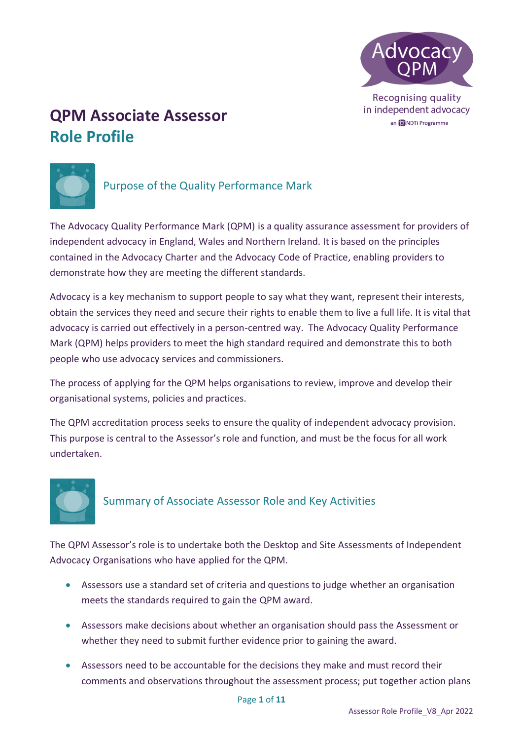

# **QPM Associate Assessor Role Profile**



## Purpose of the Quality Performance Mark

The Advocacy Quality Performance Mark (QPM) is a quality assurance assessment for providers of independent advocacy in England, Wales and Northern Ireland. It is based on the principles contained in the Advocacy Charter and the Advocacy Code of Practice, enabling providers to demonstrate how they are meeting the different standards.

Advocacy is a key mechanism to support people to say what they want, represent their interests, obtain the services they need and secure their rights to enable them to live a full life. It is vital that advocacy is carried out effectively in a person-centred way. The Advocacy Quality Performance Mark (QPM) helps providers to meet the high standard required and demonstrate this to both people who use advocacy services and commissioners.

The process of applying for the QPM helps organisations to review, improve and develop their organisational systems, policies and practices.

The QPM accreditation process seeks to ensure the quality of independent advocacy provision. This purpose is central to the Assessor's role and function, and must be the focus for all work undertaken.



## Summary of Associate Assessor Role and Key Activities

The QPM Assessor's role is to undertake both the Desktop and Site Assessments of Independent Advocacy Organisations who have applied for the QPM.

- Assessors use a standard set of criteria and questions to judge whether an organisation meets the standards required to gain the QPM award.
- Assessors make decisions about whether an organisation should pass the Assessment or whether they need to submit further evidence prior to gaining the award.
- Assessors need to be accountable for the decisions they make and must record their comments and observations throughout the assessment process; put together action plans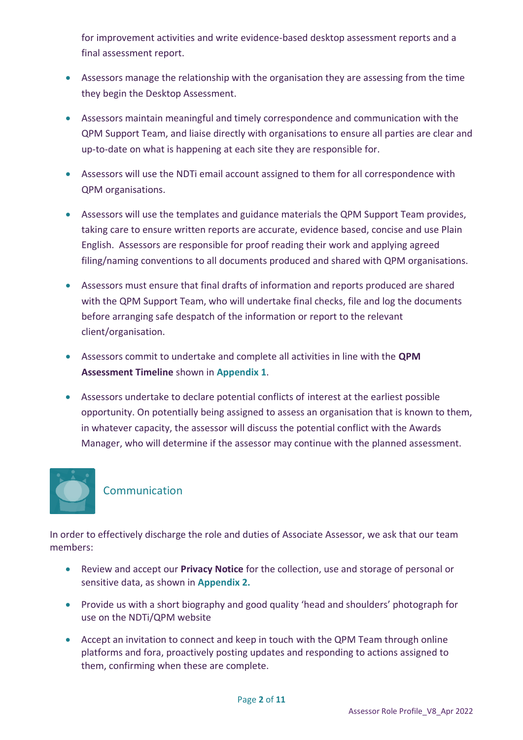for improvement activities and write evidence-based desktop assessment reports and a final assessment report.

- Assessors manage the relationship with the organisation they are assessing from the time they begin the Desktop Assessment.
- Assessors maintain meaningful and timely correspondence and communication with the QPM Support Team, and liaise directly with organisations to ensure all parties are clear and up-to-date on what is happening at each site they are responsible for.
- Assessors will use the NDTi email account assigned to them for all correspondence with QPM organisations.
- Assessors will use the templates and guidance materials the QPM Support Team provides, taking care to ensure written reports are accurate, evidence based, concise and use Plain English. Assessors are responsible for proof reading their work and applying agreed filing/naming conventions to all documents produced and shared with QPM organisations.
- Assessors must ensure that final drafts of information and reports produced are shared with the QPM Support Team, who will undertake final checks, file and log the documents before arranging safe despatch of the information or report to the relevant client/organisation.
- Assessors commit to undertake and complete all activities in line with the **QPM Assessment Timeline** shown in **Appendix 1**.
- Assessors undertake to declare potential conflicts of interest at the earliest possible opportunity. On potentially being assigned to assess an organisation that is known to them, in whatever capacity, the assessor will discuss the potential conflict with the Awards Manager, who will determine if the assessor may continue with the planned assessment.



## Communication

In order to effectively discharge the role and duties of Associate Assessor, we ask that our team members:

- Review and accept our **Privacy Notice** for the collection, use and storage of personal or sensitive data, as shown in **Appendix 2.**
- Provide us with a short biography and good quality 'head and shoulders' photograph for use on the NDTi/QPM website
- Accept an invitation to connect and keep in touch with the QPM Team through online platforms and fora, proactively posting updates and responding to actions assigned to them, confirming when these are complete.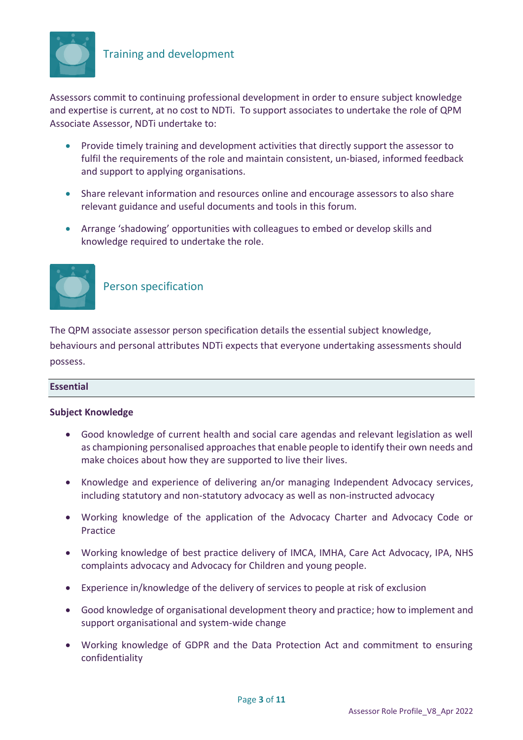

## Training and development

Assessors commit to continuing professional development in order to ensure subject knowledge and expertise is current, at no cost to NDTi. To support associates to undertake the role of QPM Associate Assessor, NDTi undertake to:

- Provide timely training and development activities that directly support the assessor to fulfil the requirements of the role and maintain consistent, un-biased, informed feedback and support to applying organisations.
- Share relevant information and resources online and encourage assessors to also share relevant guidance and useful documents and tools in this forum.
- Arrange 'shadowing' opportunities with colleagues to embed or develop skills and knowledge required to undertake the role.



## Person specification

The QPM associate assessor person specification details the essential subject knowledge, behaviours and personal attributes NDTi expects that everyone undertaking assessments should possess.

## **Essential**

## **Subject Knowledge**

- Good knowledge of current health and social care agendas and relevant legislation as well as championing personalised approaches that enable people to identify their own needs and make choices about how they are supported to live their lives.
- Knowledge and experience of delivering an/or managing Independent Advocacy services, including statutory and non-statutory advocacy as well as non-instructed advocacy
- Working knowledge of the application of the Advocacy Charter and Advocacy Code or Practice
- Working knowledge of best practice delivery of IMCA, IMHA, Care Act Advocacy, IPA, NHS complaints advocacy and Advocacy for Children and young people.
- Experience in/knowledge of the delivery of services to people at risk of exclusion
- Good knowledge of organisational development theory and practice; how to implement and support organisational and system-wide change
- Working knowledge of GDPR and the Data Protection Act and commitment to ensuring confidentiality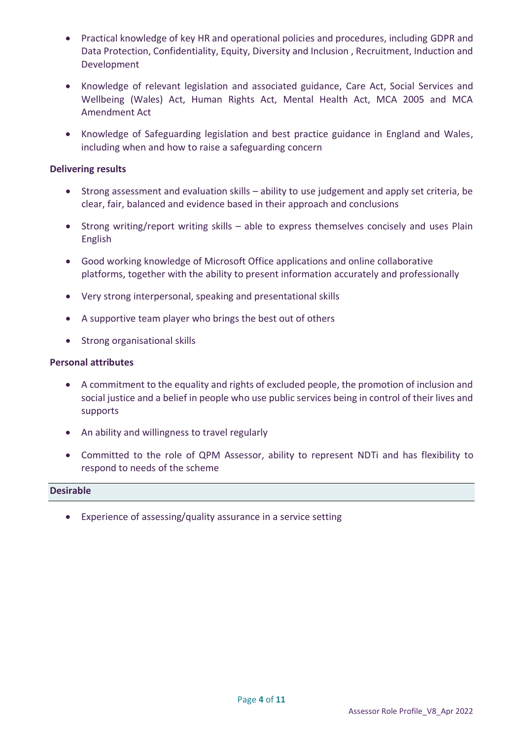- Practical knowledge of key HR and operational policies and procedures, including GDPR and Data Protection, Confidentiality, Equity, Diversity and Inclusion , Recruitment, Induction and Development
- Knowledge of relevant legislation and associated guidance, Care Act, Social Services and Wellbeing (Wales) Act, Human Rights Act, Mental Health Act, MCA 2005 and MCA Amendment Act
- Knowledge of Safeguarding legislation and best practice guidance in England and Wales, including when and how to raise a safeguarding concern

## **Delivering results**

- Strong assessment and evaluation skills ability to use judgement and apply set criteria, be clear, fair, balanced and evidence based in their approach and conclusions
- Strong writing/report writing skills able to express themselves concisely and uses Plain English
- Good working knowledge of Microsoft Office applications and online collaborative platforms, together with the ability to present information accurately and professionally
- Very strong interpersonal, speaking and presentational skills
- A supportive team player who brings the best out of others
- Strong organisational skills

### **Personal attributes**

- A commitment to the equality and rights of excluded people, the promotion of inclusion and social justice and a belief in people who use public services being in control of their lives and supports
- An ability and willingness to travel regularly
- Committed to the role of QPM Assessor, ability to represent NDTi and has flexibility to respond to needs of the scheme

#### **Desirable**

• Experience of assessing/quality assurance in a service setting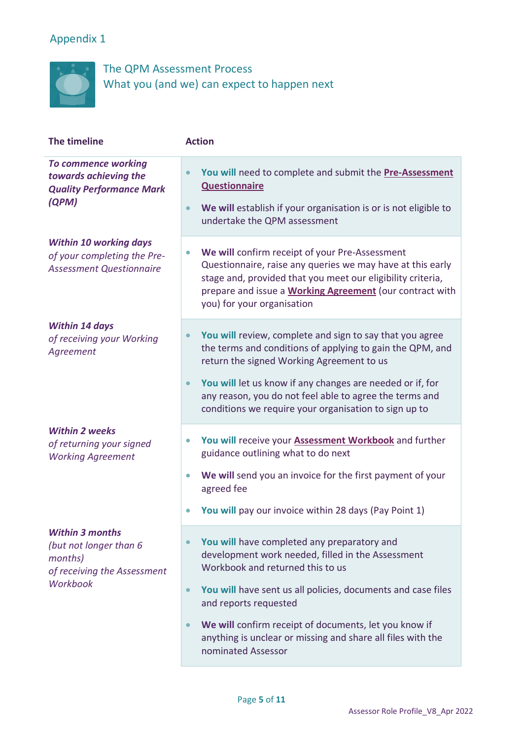## Appendix 1



The QPM Assessment Process What you (and we) can expect to happen next

| The timeline                                                                                           | <b>Action</b>                                                                                                                                                                                                                                                                             |
|--------------------------------------------------------------------------------------------------------|-------------------------------------------------------------------------------------------------------------------------------------------------------------------------------------------------------------------------------------------------------------------------------------------|
| <b>To commence working</b><br>towards achieving the<br><b>Quality Performance Mark</b><br>(QPM)        | You will need to complete and submit the Pre-Assessment<br>$\bullet$<br><b>Questionnaire</b><br>We will establish if your organisation is or is not eligible to<br>$\bullet$<br>undertake the QPM assessment                                                                              |
| <b>Within 10 working days</b>                                                                          |                                                                                                                                                                                                                                                                                           |
| of your completing the Pre-<br><b>Assessment Questionnaire</b>                                         | We will confirm receipt of your Pre-Assessment<br>$\bullet$<br>Questionnaire, raise any queries we may have at this early<br>stage and, provided that you meet our eligibility criteria,<br>prepare and issue a <b>Working Agreement</b> (our contract with<br>you) for your organisation |
| <b>Within 14 days</b><br>of receiving your Working<br>Agreement                                        | You will review, complete and sign to say that you agree<br>the terms and conditions of applying to gain the QPM, and<br>return the signed Working Agreement to us                                                                                                                        |
|                                                                                                        | You will let us know if any changes are needed or if, for<br>$\bullet$<br>any reason, you do not feel able to agree the terms and<br>conditions we require your organisation to sign up to                                                                                                |
| <b>Within 2 weeks</b><br>of returning your signed<br><b>Working Agreement</b>                          | You will receive your <b>Assessment Workbook</b> and further<br>$\bullet$<br>guidance outlining what to do next                                                                                                                                                                           |
|                                                                                                        | We will send you an invoice for the first payment of your<br>$\bullet$<br>agreed fee                                                                                                                                                                                                      |
|                                                                                                        | You will pay our invoice within 28 days (Pay Point 1)                                                                                                                                                                                                                                     |
| <b>Within 3 months</b><br>(but not longer than 6<br>months)<br>of receiving the Assessment<br>Workbook | You will have completed any preparatory and<br>development work needed, filled in the Assessment<br>Workbook and returned this to us                                                                                                                                                      |
|                                                                                                        | You will have sent us all policies, documents and case files<br>$\bullet$<br>and reports requested                                                                                                                                                                                        |
|                                                                                                        | We will confirm receipt of documents, let you know if<br>$\bullet$<br>anything is unclear or missing and share all files with the<br>nominated Assessor                                                                                                                                   |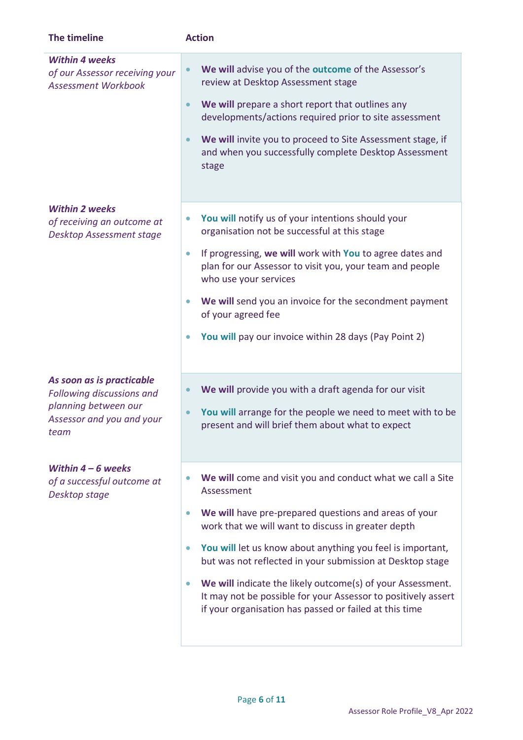| The timeline                                                                                                        | <b>Action</b>                                                                                                                                                                                                                                                                                                                                                                                                                                                                                                                         |
|---------------------------------------------------------------------------------------------------------------------|---------------------------------------------------------------------------------------------------------------------------------------------------------------------------------------------------------------------------------------------------------------------------------------------------------------------------------------------------------------------------------------------------------------------------------------------------------------------------------------------------------------------------------------|
| <b>Within 4 weeks</b><br>of our Assessor receiving your<br><b>Assessment Workbook</b>                               | We will advise you of the outcome of the Assessor's<br>$\bullet$<br>review at Desktop Assessment stage<br>We will prepare a short report that outlines any<br>$\bullet$<br>developments/actions required prior to site assessment<br>We will invite you to proceed to Site Assessment stage, if<br>$\bullet$<br>and when you successfully complete Desktop Assessment<br>stage                                                                                                                                                        |
| <b>Within 2 weeks</b><br>of receiving an outcome at<br><b>Desktop Assessment stage</b>                              | You will notify us of your intentions should your<br>$\bullet$<br>organisation not be successful at this stage<br>If progressing, we will work with You to agree dates and<br>$\bullet$<br>plan for our Assessor to visit you, your team and people<br>who use your services<br>We will send you an invoice for the secondment payment<br>$\bullet$<br>of your agreed fee<br>You will pay our invoice within 28 days (Pay Point 2)                                                                                                    |
| As soon as is practicable<br>Following discussions and<br>planning between our<br>Assessor and you and your<br>team | We will provide you with a draft agenda for our visit<br>$\bullet$<br>You will arrange for the people we need to meet with to be<br>present and will brief them about what to expect                                                                                                                                                                                                                                                                                                                                                  |
| Within $4-6$ weeks<br>of a successful outcome at<br>Desktop stage                                                   | We will come and visit you and conduct what we call a Site<br>Assessment<br>We will have pre-prepared questions and areas of your<br>$\bullet$<br>work that we will want to discuss in greater depth<br>You will let us know about anything you feel is important,<br>$\bullet$<br>but was not reflected in your submission at Desktop stage<br>We will indicate the likely outcome(s) of your Assessment.<br>It may not be possible for your Assessor to positively assert<br>if your organisation has passed or failed at this time |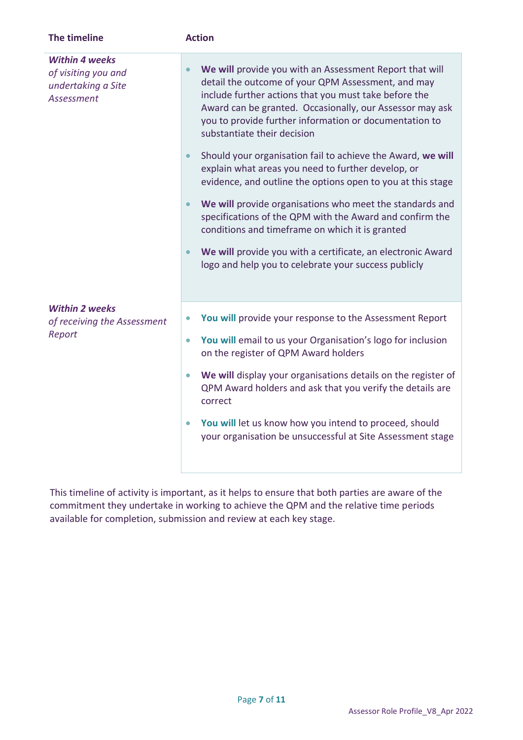| The timeline                                                                            | <b>Action</b>                                                                                                                                                                                                                                                                                                                            |
|-----------------------------------------------------------------------------------------|------------------------------------------------------------------------------------------------------------------------------------------------------------------------------------------------------------------------------------------------------------------------------------------------------------------------------------------|
| <b>Within 4 weeks</b><br>of visiting you and<br>undertaking a Site<br><b>Assessment</b> | We will provide you with an Assessment Report that will<br>$\bullet$<br>detail the outcome of your QPM Assessment, and may<br>include further actions that you must take before the<br>Award can be granted. Occasionally, our Assessor may ask<br>you to provide further information or documentation to<br>substantiate their decision |
|                                                                                         | Should your organisation fail to achieve the Award, we will<br>$\bullet$<br>explain what areas you need to further develop, or<br>evidence, and outline the options open to you at this stage                                                                                                                                            |
|                                                                                         | We will provide organisations who meet the standards and<br>$\bullet$<br>specifications of the QPM with the Award and confirm the<br>conditions and timeframe on which it is granted                                                                                                                                                     |
|                                                                                         | We will provide you with a certificate, an electronic Award<br>logo and help you to celebrate your success publicly                                                                                                                                                                                                                      |
| <b>Within 2 weeks</b><br>of receiving the Assessment<br>Report                          |                                                                                                                                                                                                                                                                                                                                          |
|                                                                                         | You will provide your response to the Assessment Report<br>$\bullet$                                                                                                                                                                                                                                                                     |
|                                                                                         | You will email to us your Organisation's logo for inclusion<br>$\bullet$<br>on the register of QPM Award holders                                                                                                                                                                                                                         |
|                                                                                         | We will display your organisations details on the register of<br>$\bullet$<br>QPM Award holders and ask that you verify the details are<br>correct                                                                                                                                                                                       |
|                                                                                         | You will let us know how you intend to proceed, should<br>$\bullet$<br>your organisation be unsuccessful at Site Assessment stage                                                                                                                                                                                                        |
|                                                                                         |                                                                                                                                                                                                                                                                                                                                          |

This timeline of activity is important, as it helps to ensure that both parties are aware of the commitment they undertake in working to achieve the QPM and the relative time periods available for completion, submission and review at each key stage.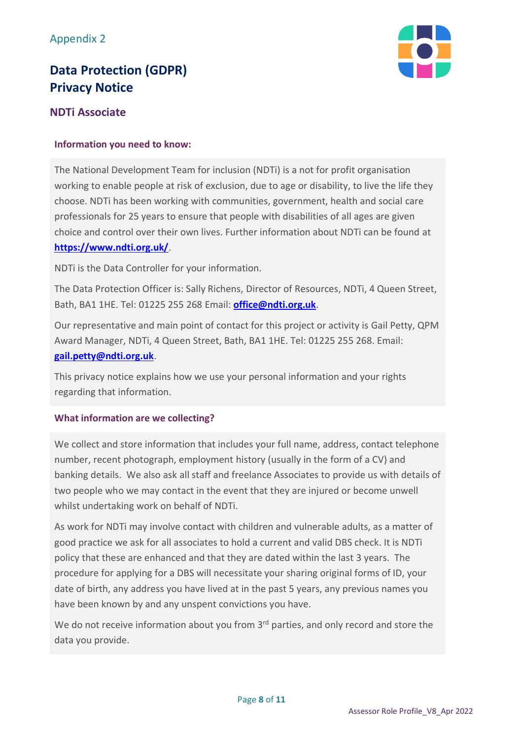## **Data Protection (GDPR) Privacy Notice**



## **NDTi Associate**

## **Information you need to know:**

The National Development Team for inclusion (NDTi) is a not for profit organisation working to enable people at risk of exclusion, due to age or disability, to live the life they choose. NDTi has been working with communities, government, health and social care professionals for 25 years to ensure that people with disabilities of all ages are given choice and control over their own lives. Further information about NDTi can be found at **<https://www.ndti.org.uk/>**.

NDTi is the Data Controller for your information.

The Data Protection Officer is: Sally Richens, Director of Resources, NDTi, 4 Queen Street, Bath, BA1 1HE. Tel: 01225 255 268 Email: **[office@ndti.org.uk](mailto:office@ndti.org.uk)**.

Our representative and main point of contact for this project or activity is Gail Petty, QPM Award Manager, NDTi, 4 Queen Street, Bath, BA1 1HE. Tel: 01225 255 268. Email: **[gail.petty@ndti.org.uk](mailto:gail.petty@ndti.org.uk)**.

This privacy notice explains how we use your personal information and your rights regarding that information.

## **What information are we collecting?**

We collect and store information that includes your full name, address, contact telephone number, recent photograph, employment history (usually in the form of a CV) and banking details. We also ask all staff and freelance Associates to provide us with details of two people who we may contact in the event that they are injured or become unwell whilst undertaking work on behalf of NDTi.

As work for NDTi may involve contact with children and vulnerable adults, as a matter of good practice we ask for all associates to hold a current and valid DBS check. It is NDTi policy that these are enhanced and that they are dated within the last 3 years. The procedure for applying for a DBS will necessitate your sharing original forms of ID, your date of birth, any address you have lived at in the past 5 years, any previous names you have been known by and any unspent convictions you have.

We do not receive information about you from 3<sup>rd</sup> parties, and only record and store the data you provide.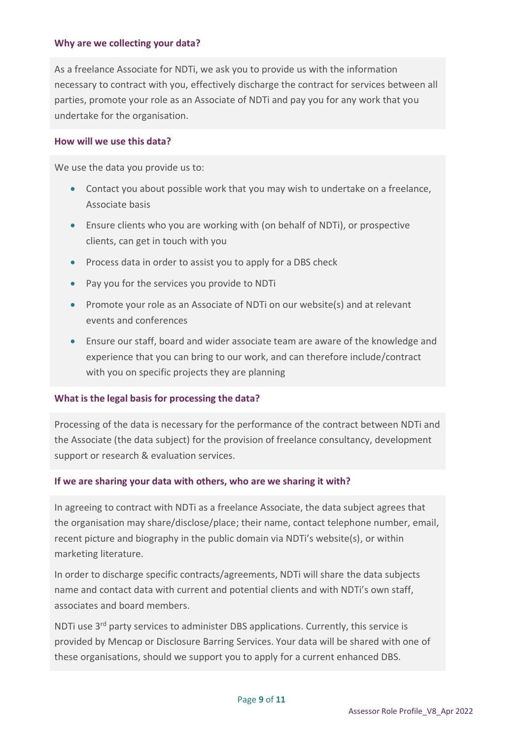## **Why are we collecting your data?**

As a freelance Associate for NDTi, we ask you to provide us with the information necessary to contract with you, effectively discharge the contract for services between all parties, promote your role as an Associate of NDTi and pay you for any work that you undertake for the organisation.

### **How will we use this data?**

We use the data you provide us to:

- Contact you about possible work that you may wish to undertake on a freelance, Associate basis
- Ensure clients who you are working with (on behalf of NDTi), or prospective clients, can get in touch with you
- Process data in order to assist you to apply for a DBS check
- Pay you for the services you provide to NDTi
- Promote your role as an Associate of NDTi on our website(s) and at relevant events and conferences
- Ensure our staff, board and wider associate team are aware of the knowledge and experience that you can bring to our work, and can therefore include/contract with you on specific projects they are planning

## **What is the legal basis for processing the data?**

Processing of the data is necessary for the performance of the contract between NDTi and the Associate (the data subject) for the provision of freelance consultancy, development support or research & evaluation services.

## **If we are sharing your data with others, who are we sharing it with?**

In agreeing to contract with NDTi as a freelance Associate, the data subject agrees that the organisation may share/disclose/place; their name, contact telephone number, email, recent picture and biography in the public domain via NDTi's website(s), or within marketing literature.

In order to discharge specific contracts/agreements, NDTi will share the data subjects name and contact data with current and potential clients and with NDTi's own staff, associates and board members.

NDTi use 3<sup>rd</sup> party services to administer DBS applications. Currently, this service is provided by Mencap or Disclosure Barring Services. Your data will be shared with one of these organisations, should we support you to apply for a current enhanced DBS.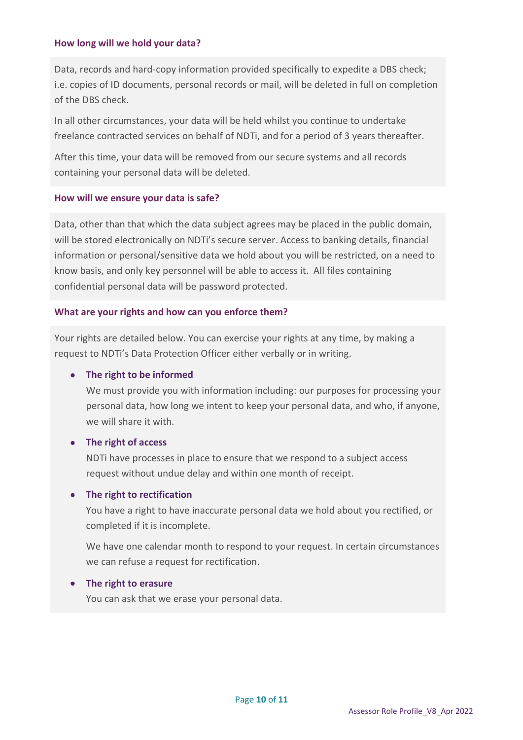## **How long will we hold your data?**

Data, records and hard-copy information provided specifically to expedite a DBS check; i.e. copies of ID documents, personal records or mail, will be deleted in full on completion of the DBS check.

In all other circumstances, your data will be held whilst you continue to undertake freelance contracted services on behalf of NDTi, and for a period of 3 years thereafter.

After this time, your data will be removed from our secure systems and all records containing your personal data will be deleted.

## **How will we ensure your data is safe?**

Data, other than that which the data subject agrees may be placed in the public domain, will be stored electronically on NDTi's secure server. Access to banking details, financial information or personal/sensitive data we hold about you will be restricted, on a need to know basis, and only key personnel will be able to access it. All files containing confidential personal data will be password protected.

### **What are your rights and how can you enforce them?**

Your rights are detailed below. You can exercise your rights at any time, by making a request to NDTi's Data Protection Officer either verbally or in writing.

## • **The right to be informed**

We must provide you with information including: our purposes for processing your personal data, how long we intent to keep your personal data, and who, if anyone, we will share it with.

## • **The right of access**

NDTi have processes in place to ensure that we respond to a subject access request without undue delay and within one month of receipt.

#### • **The right to rectification**

You have a right to have inaccurate personal data we hold about you rectified, or completed if it is incomplete.

We have one calendar month to respond to your request. In certain circumstances we can refuse a request for rectification.

#### • **The right to erasure**

You can ask that we erase your personal data.